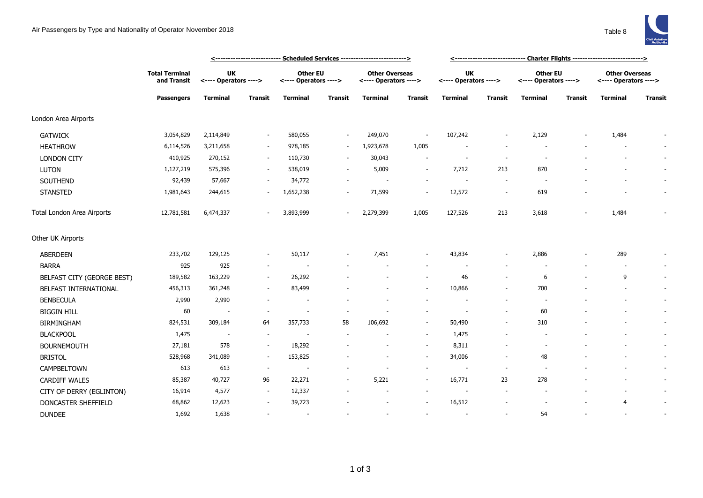## Air Passengers by Type and Nationality of Operator November 2018 Table 8



|                            |                                                           | <-------------------------- Scheduled Services -------------------------> |                |                                          |                          |                                                |                          | <------------------------------ Charter Flights ---------------------------> |                          |                                          |                |                                                |                          |
|----------------------------|-----------------------------------------------------------|---------------------------------------------------------------------------|----------------|------------------------------------------|--------------------------|------------------------------------------------|--------------------------|------------------------------------------------------------------------------|--------------------------|------------------------------------------|----------------|------------------------------------------------|--------------------------|
|                            | <b>Total Terminal</b><br>and Transit<br><b>Passengers</b> | <b>UK</b><br><---- Operators ---->                                        |                | <b>Other EU</b><br><---- Operators ----> |                          | <b>Other Overseas</b><br><---- Operators ----> |                          | <b>UK</b><br><---- Operators ---->                                           |                          | <b>Other EU</b><br><---- Operators ----> |                | <b>Other Overseas</b><br><---- Operators ----> |                          |
|                            |                                                           | <b>Terminal</b>                                                           | <b>Transit</b> | <b>Terminal</b>                          | <b>Transit</b>           | <b>Terminal</b>                                | <b>Transit</b>           | <b>Terminal</b>                                                              | <b>Transit</b>           | <b>Terminal</b>                          | <b>Transit</b> | <b>Terminal</b>                                | <b>Transit</b>           |
| London Area Airports       |                                                           |                                                                           |                |                                          |                          |                                                |                          |                                                                              |                          |                                          |                |                                                |                          |
| <b>GATWICK</b>             | 3,054,829                                                 | 2,114,849                                                                 |                | 580,055                                  | $\sim$                   | 249,070                                        | $\overline{\phantom{a}}$ | 107,242                                                                      |                          | 2,129                                    |                | 1,484                                          |                          |
| <b>HEATHROW</b>            | 6,114,526                                                 | 3,211,658                                                                 |                | 978,185                                  | $\sim$                   | 1,923,678                                      | 1,005                    |                                                                              |                          |                                          |                |                                                | $\sim$                   |
| <b>LONDON CITY</b>         | 410,925                                                   | 270,152                                                                   | $\sim$         | 110,730                                  | $\sim$                   | 30,043                                         | $\overline{\phantom{a}}$ |                                                                              | $\overline{\phantom{a}}$ |                                          |                |                                                | $\sim$                   |
| <b>LUTON</b>               | 1,127,219                                                 | 575,396                                                                   | $\sim$         | 538,019                                  |                          | 5,009                                          | $\sim$                   | 7,712                                                                        | 213                      | 870                                      |                |                                                | $\sim$                   |
| SOUTHEND                   | 92,439                                                    | 57,667                                                                    | $\sim$         | 34,772                                   |                          | $\sim$                                         | $\sim$                   | $\overline{\phantom{a}}$                                                     | $\sim$                   | $\overline{\phantom{a}}$                 |                |                                                | $\sim$                   |
| <b>STANSTED</b>            | 1,981,643                                                 | 244,615                                                                   | $\sim$         | 1,652,238                                | $\overline{\phantom{a}}$ | 71,599                                         | $\overline{\phantom{a}}$ | 12,572                                                                       | $\overline{\phantom{a}}$ | 619                                      |                |                                                | $\overline{\phantom{a}}$ |
| Total London Area Airports | 12,781,581                                                | 6,474,337                                                                 |                | 3,893,999                                | $\overline{\phantom{a}}$ | 2,279,399                                      | 1,005                    | 127,526                                                                      | 213                      | 3,618                                    |                | 1,484                                          |                          |
| Other UK Airports          |                                                           |                                                                           |                |                                          |                          |                                                |                          |                                                                              |                          |                                          |                |                                                |                          |
| <b>ABERDEEN</b>            | 233,702                                                   | 129,125                                                                   |                | 50,117                                   |                          | 7,451                                          | $\overline{\phantom{a}}$ | 43,834                                                                       |                          | 2,886                                    |                | 289                                            | $\overline{\phantom{a}}$ |
| <b>BARRA</b>               | 925                                                       | 925                                                                       | $\sim$         |                                          |                          |                                                |                          |                                                                              |                          |                                          |                | $\overline{\phantom{a}}$                       | $\sim$                   |
| BELFAST CITY (GEORGE BEST) | 189,582                                                   | 163,229                                                                   | $\sim$         | 26,292                                   |                          |                                                | $\sim$                   | 46                                                                           | $\overline{\phantom{a}}$ | 6                                        |                | 9                                              | $\overline{\phantom{a}}$ |
| BELFAST INTERNATIONAL      | 456,313                                                   | 361,248                                                                   |                | 83,499                                   |                          |                                                | $\overline{\phantom{a}}$ | 10,866                                                                       |                          | 700                                      |                |                                                | $\overline{\phantom{a}}$ |
| <b>BENBECULA</b>           | 2,990                                                     | 2,990                                                                     |                |                                          |                          |                                                |                          |                                                                              |                          |                                          |                |                                                | $\sim$                   |
| <b>BIGGIN HILL</b>         | 60                                                        | $\overline{\phantom{a}}$                                                  |                |                                          |                          |                                                |                          |                                                                              | $\overline{\phantom{a}}$ | 60                                       |                |                                                | $\overline{\phantom{a}}$ |
| <b>BIRMINGHAM</b>          | 824,531                                                   | 309,184                                                                   | 64             | 357,733                                  | 58                       | 106,692                                        | $\sim$                   | 50,490                                                                       | $\sim$                   | 310                                      |                |                                                | ÷.                       |
| <b>BLACKPOOL</b>           | 1,475                                                     | $\overline{\phantom{a}}$                                                  |                |                                          |                          |                                                | $\sim$                   | 1,475                                                                        |                          |                                          |                |                                                | $\sim$                   |
| <b>BOURNEMOUTH</b>         | 27,181                                                    | 578                                                                       | $\sim$         | 18,292                                   |                          |                                                | $\sim$                   | 8,311                                                                        |                          |                                          |                |                                                | $\overline{\phantom{a}}$ |
| <b>BRISTOL</b>             | 528,968                                                   | 341,089                                                                   | $\sim$         | 153,825                                  |                          |                                                | $\overline{\phantom{a}}$ | 34,006                                                                       |                          | 48                                       |                |                                                | $\overline{\phantom{a}}$ |
| CAMPBELTOWN                | 613                                                       | 613                                                                       |                |                                          |                          |                                                | $\overline{\phantom{a}}$ |                                                                              | $\overline{\phantom{a}}$ |                                          |                |                                                | $\overline{\phantom{a}}$ |
| <b>CARDIFF WALES</b>       | 85,387                                                    | 40,727                                                                    | 96             | 22,271                                   |                          | 5,221                                          | $\sim$                   | 16,771                                                                       | 23                       | 278                                      |                |                                                | $\sim$                   |
| CITY OF DERRY (EGLINTON)   | 16,914                                                    | 4,577                                                                     | $\sim$         | 12,337                                   |                          |                                                | $\sim$                   |                                                                              |                          |                                          |                |                                                | $\sim$                   |
| DONCASTER SHEFFIELD        | 68,862                                                    | 12,623                                                                    |                | 39,723                                   |                          |                                                |                          | 16,512                                                                       |                          |                                          |                | $\overline{4}$                                 | $\overline{\phantom{a}}$ |
| <b>DUNDEE</b>              | 1,692                                                     | 1,638                                                                     |                | $\sim$                                   |                          |                                                | $\sim$                   |                                                                              | $\sim$                   | 54                                       |                |                                                | $\overline{\phantom{a}}$ |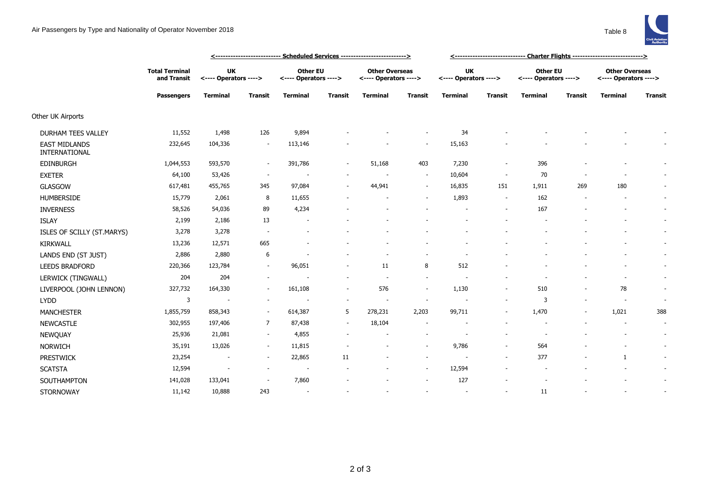

|                                       |                                                           | <u> &lt;--------------------------- Scheduled Services --------------------------&gt;</u> |                |                                          |                |                                                |                |                                    |                          |                                          |                |                                                |                          |
|---------------------------------------|-----------------------------------------------------------|-------------------------------------------------------------------------------------------|----------------|------------------------------------------|----------------|------------------------------------------------|----------------|------------------------------------|--------------------------|------------------------------------------|----------------|------------------------------------------------|--------------------------|
|                                       | <b>Total Terminal</b><br>and Transit<br><b>Passengers</b> | <b>UK</b><br><---- Operators ---->                                                        |                | <b>Other EU</b><br><---- Operators ----> |                | <b>Other Overseas</b><br><---- Operators ----> |                | <b>UK</b><br><---- Operators ----> |                          | <b>Other EU</b><br><---- Operators ----> |                | <b>Other Overseas</b><br><---- Operators ----> |                          |
|                                       |                                                           | <b>Terminal</b>                                                                           | <b>Transit</b> | <b>Terminal</b>                          | <b>Transit</b> | <b>Terminal</b>                                | <b>Transit</b> | <b>Terminal</b>                    | <b>Transit</b>           | <b>Terminal</b>                          | <b>Transit</b> | <b>Terminal</b>                                | <b>Transit</b>           |
| Other UK Airports                     |                                                           |                                                                                           |                |                                          |                |                                                |                |                                    |                          |                                          |                |                                                |                          |
| DURHAM TEES VALLEY                    | 11,552                                                    | 1,498                                                                                     | 126            | 9,894                                    |                |                                                |                | 34                                 |                          |                                          |                |                                                |                          |
| <b>EAST MIDLANDS</b><br>INTERNATIONAL | 232,645                                                   | 104,336                                                                                   |                | 113,146                                  |                |                                                |                | 15,163                             |                          |                                          |                |                                                |                          |
| EDINBURGH                             | 1,044,553                                                 | 593,570                                                                                   |                | 391,786                                  |                | 51,168                                         | 403            | 7,230                              |                          | 396                                      |                |                                                |                          |
| <b>EXETER</b>                         | 64,100                                                    | 53,426                                                                                    | $\sim$         |                                          |                |                                                | $\sim$         | 10,604                             | $\overline{\phantom{a}}$ | 70                                       |                | $\overline{a}$                                 |                          |
| <b>GLASGOW</b>                        | 617,481                                                   | 455,765                                                                                   | 345            | 97,084                                   | $\sim$         | 44,941                                         | $\sim$         | 16,835                             | 151                      | 1,911                                    | 269            | 180                                            |                          |
| <b>HUMBERSIDE</b>                     | 15,779                                                    | 2,061                                                                                     | 8              | 11,655                                   |                |                                                | $\sim$         | 1,893                              | $\overline{\phantom{a}}$ | 162                                      |                |                                                | $\sim$                   |
| <b>INVERNESS</b>                      | 58,526                                                    | 54,036                                                                                    | 89             | 4,234                                    |                |                                                |                |                                    |                          | 167                                      |                | ٠                                              | $\sim$                   |
| <b>ISLAY</b>                          | 2,199                                                     | 2,186                                                                                     | 13             | $\overline{\phantom{a}}$                 |                |                                                |                |                                    |                          |                                          |                |                                                | $\sim$                   |
| ISLES OF SCILLY (ST.MARYS)            | 3,278                                                     | 3,278                                                                                     |                |                                          |                |                                                |                |                                    |                          |                                          |                |                                                | $\sim$                   |
| KIRKWALL                              | 13,236                                                    | 12,571                                                                                    | 665            |                                          |                |                                                |                |                                    |                          |                                          |                |                                                | $\sim$                   |
| LANDS END (ST JUST)                   | 2,886                                                     | 2,880                                                                                     | 6              |                                          |                |                                                |                |                                    |                          |                                          |                |                                                | $\sim$                   |
| <b>LEEDS BRADFORD</b>                 | 220,366                                                   | 123,784                                                                                   | $\sim$         | 96,051                                   |                | 11                                             | 8              | 512                                |                          |                                          |                |                                                | $\sim$                   |
| LERWICK (TINGWALL)                    | 204                                                       | 204                                                                                       |                |                                          |                | $\overline{\phantom{a}}$                       | $\sim$         |                                    |                          |                                          |                | $\overline{a}$                                 | $\sim$                   |
| LIVERPOOL (JOHN LENNON)               | 327,732                                                   | 164,330                                                                                   |                | 161,108                                  | $\sim$         | 576                                            | $\sim$         | 1,130                              |                          | 510                                      |                | 78                                             | $\sim$                   |
| <b>LYDD</b>                           | 3                                                         | $\overline{\phantom{a}}$                                                                  |                |                                          |                | $\sim$                                         | $\sim$         |                                    |                          | 3                                        |                | $\sim$                                         | $\overline{\phantom{a}}$ |
| <b>MANCHESTER</b>                     | 1,855,759                                                 | 858,343                                                                                   |                | 614,387                                  | 5              | 278,231                                        | 2,203          | 99,711                             |                          | 1,470                                    |                | 1,021                                          | 388                      |
| <b>NEWCASTLE</b>                      | 302,955                                                   | 197,406                                                                                   | 7              | 87,438                                   | $\sim$         | 18,104                                         |                |                                    |                          |                                          |                | $\overline{\phantom{a}}$                       | $\overline{\phantom{a}}$ |
| NEWQUAY                               | 25,936                                                    | 21,081                                                                                    |                | 4,855                                    |                |                                                |                |                                    |                          |                                          |                |                                                | $\sim$                   |
| <b>NORWICH</b>                        | 35,191                                                    | 13,026                                                                                    | $\sim$         | 11,815                                   |                |                                                | $\sim$         | 9,786                              | $\overline{\phantom{a}}$ | 564                                      |                |                                                | $\sim$                   |
| <b>PRESTWICK</b>                      | 23,254                                                    | $\overline{\phantom{a}}$                                                                  | $\sim$         | 22,865                                   | 11             |                                                | $\sim$         |                                    |                          | 377                                      |                | 1                                              | $\sim$                   |
| <b>SCATSTA</b>                        | 12,594                                                    | $\overline{\phantom{a}}$                                                                  | $\sim$         | $\overline{\phantom{a}}$                 |                |                                                | $\sim$         | 12,594                             |                          |                                          |                |                                                | $\sim$                   |
| SOUTHAMPTON                           | 141,028                                                   | 133,041                                                                                   |                | 7,860                                    |                |                                                |                | 127                                |                          |                                          |                |                                                | $\sim$                   |
| <b>STORNOWAY</b>                      | 11,142                                                    | 10,888                                                                                    | 243            | $\sim$                                   |                |                                                |                | $\overline{\phantom{a}}$           |                          | 11                                       |                |                                                |                          |